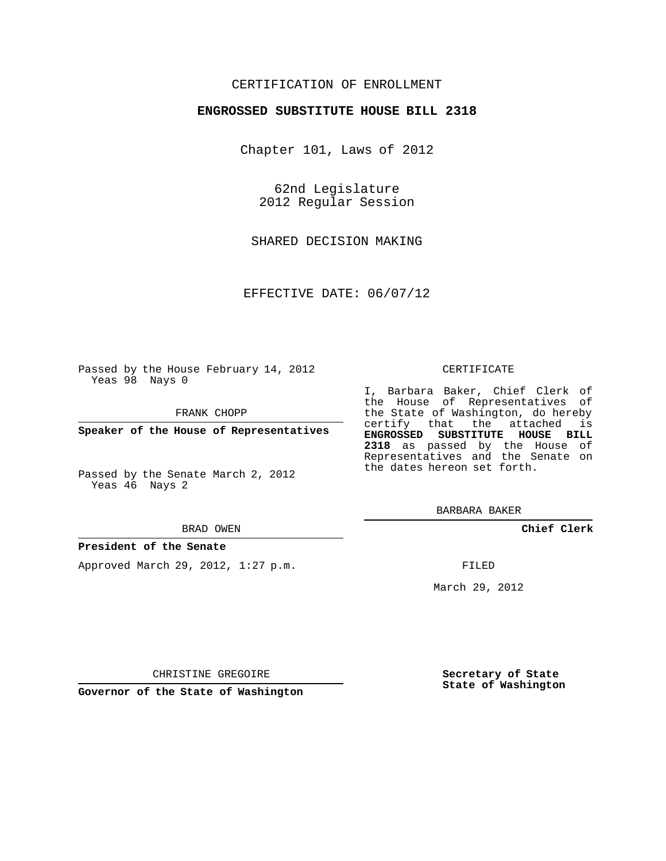## CERTIFICATION OF ENROLLMENT

### **ENGROSSED SUBSTITUTE HOUSE BILL 2318**

Chapter 101, Laws of 2012

62nd Legislature 2012 Regular Session

SHARED DECISION MAKING

EFFECTIVE DATE: 06/07/12

Passed by the House February 14, 2012 Yeas 98 Nays 0

FRANK CHOPP

**Speaker of the House of Representatives**

Passed by the Senate March 2, 2012 Yeas 46 Nays 2

#### BRAD OWEN

#### **President of the Senate**

Approved March 29, 2012, 1:27 p.m.

#### CERTIFICATE

I, Barbara Baker, Chief Clerk of the House of Representatives of the State of Washington, do hereby certify that the attached is **ENGROSSED SUBSTITUTE HOUSE BILL 2318** as passed by the House of Representatives and the Senate on the dates hereon set forth.

BARBARA BAKER

**Chief Clerk**

FILED

March 29, 2012

**Secretary of State State of Washington**

CHRISTINE GREGOIRE

**Governor of the State of Washington**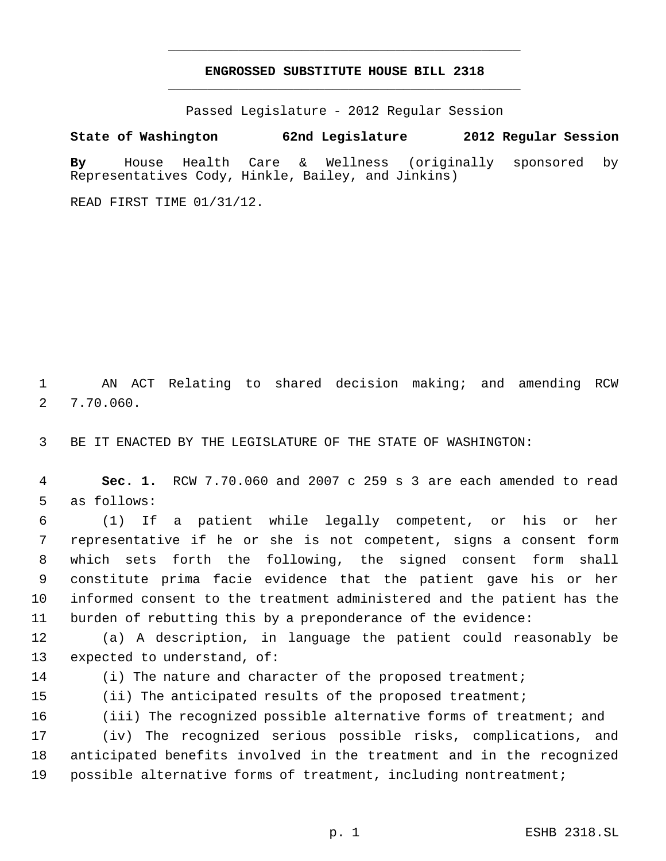# **ENGROSSED SUBSTITUTE HOUSE BILL 2318** \_\_\_\_\_\_\_\_\_\_\_\_\_\_\_\_\_\_\_\_\_\_\_\_\_\_\_\_\_\_\_\_\_\_\_\_\_\_\_\_\_\_\_\_\_

\_\_\_\_\_\_\_\_\_\_\_\_\_\_\_\_\_\_\_\_\_\_\_\_\_\_\_\_\_\_\_\_\_\_\_\_\_\_\_\_\_\_\_\_\_

Passed Legislature - 2012 Regular Session

**State of Washington 62nd Legislature 2012 Regular Session**

**By** House Health Care & Wellness (originally sponsored by Representatives Cody, Hinkle, Bailey, and Jinkins)

READ FIRST TIME 01/31/12.

 AN ACT Relating to shared decision making; and amending RCW 7.70.060.

BE IT ENACTED BY THE LEGISLATURE OF THE STATE OF WASHINGTON:

 **Sec. 1.** RCW 7.70.060 and 2007 c 259 s 3 are each amended to read as follows:

 (1) If a patient while legally competent, or his or her representative if he or she is not competent, signs a consent form which sets forth the following, the signed consent form shall constitute prima facie evidence that the patient gave his or her informed consent to the treatment administered and the patient has the burden of rebutting this by a preponderance of the evidence:

 (a) A description, in language the patient could reasonably be expected to understand, of:

14 (i) The nature and character of the proposed treatment;

(ii) The anticipated results of the proposed treatment;

(iii) The recognized possible alternative forms of treatment; and

 (iv) The recognized serious possible risks, complications, and anticipated benefits involved in the treatment and in the recognized possible alternative forms of treatment, including nontreatment;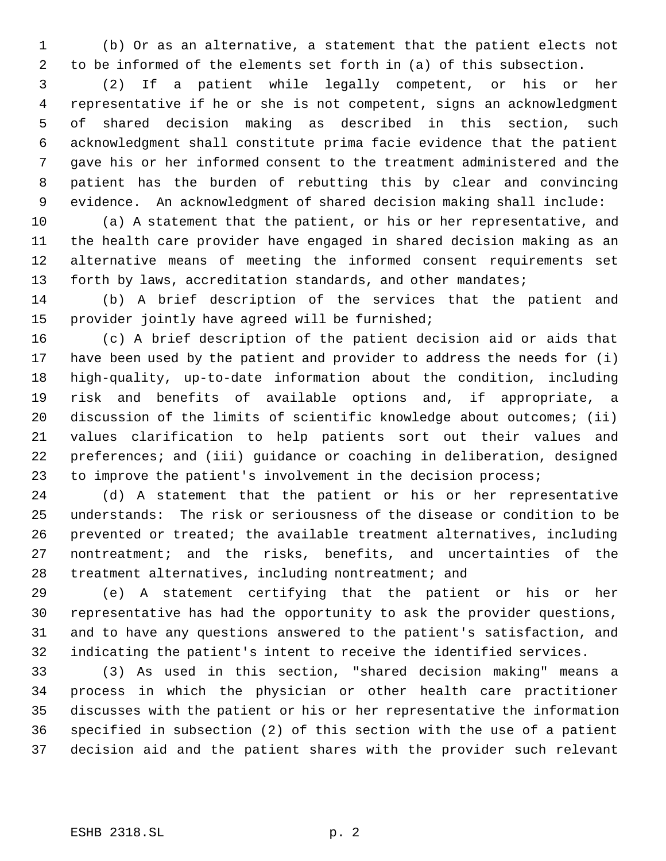(b) Or as an alternative, a statement that the patient elects not to be informed of the elements set forth in (a) of this subsection.

 (2) If a patient while legally competent, or his or her representative if he or she is not competent, signs an acknowledgment of shared decision making as described in this section, such acknowledgment shall constitute prima facie evidence that the patient gave his or her informed consent to the treatment administered and the patient has the burden of rebutting this by clear and convincing evidence. An acknowledgment of shared decision making shall include:

 (a) A statement that the patient, or his or her representative, and the health care provider have engaged in shared decision making as an alternative means of meeting the informed consent requirements set 13 forth by laws, accreditation standards, and other mandates;

 (b) A brief description of the services that the patient and provider jointly have agreed will be furnished;

 (c) A brief description of the patient decision aid or aids that have been used by the patient and provider to address the needs for (i) high-quality, up-to-date information about the condition, including risk and benefits of available options and, if appropriate, a discussion of the limits of scientific knowledge about outcomes; (ii) values clarification to help patients sort out their values and preferences; and (iii) guidance or coaching in deliberation, designed to improve the patient's involvement in the decision process;

 (d) A statement that the patient or his or her representative understands: The risk or seriousness of the disease or condition to be prevented or treated; the available treatment alternatives, including nontreatment; and the risks, benefits, and uncertainties of the treatment alternatives, including nontreatment; and

 (e) A statement certifying that the patient or his or her representative has had the opportunity to ask the provider questions, and to have any questions answered to the patient's satisfaction, and indicating the patient's intent to receive the identified services.

 (3) As used in this section, "shared decision making" means a process in which the physician or other health care practitioner discusses with the patient or his or her representative the information specified in subsection (2) of this section with the use of a patient decision aid and the patient shares with the provider such relevant